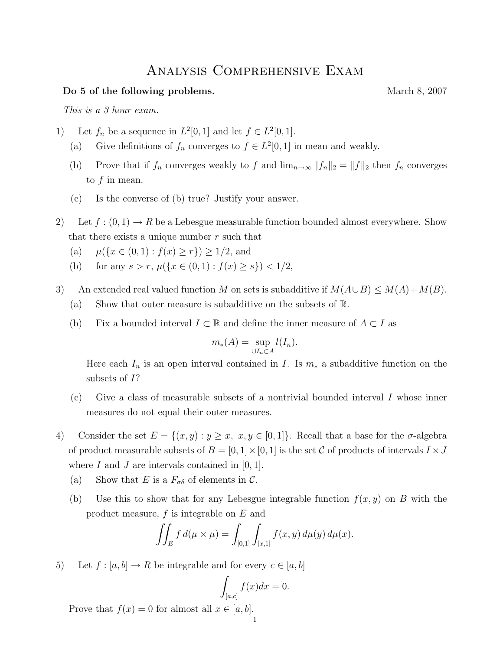## Analysis Comprehensive Exam

## Do 5 of the following problems. March 8, 2007

This is a 3 hour exam.

- 1) Let  $f_n$  be a sequence in  $L^2[0,1]$  and let  $f \in L^2[0,1]$ .
	- (a) Give definitions of  $f_n$  converges to  $f \in L^2[0,1]$  in mean and weakly.
	- (b) Prove that if  $f_n$  converges weakly to f and  $\lim_{n\to\infty} ||f_n||_2 = ||f||_2$  then  $f_n$  converges to f in mean.
	- (c) Is the converse of (b) true? Justify your answer.
- 2) Let  $f:(0,1) \to R$  be a Lebesgue measurable function bounded almost everywhere. Show that there exists a unique number  $r$  such that
	- (a)  $\mu({x \in (0,1): f(x) \geq r}) \geq 1/2$ , and
	- (b) for any  $s > r$ ,  $\mu({x \in (0,1) : f(x) \ge s}) < 1/2$ ,
- 3) An extended real valued function M on sets is subadditive if  $M(A\cup B) \leq M(A) + M(B)$ .
	- (a) Show that outer measure is subadditive on the subsets of R.
	- (b) Fix a bounded interval  $I \subset \mathbb{R}$  and define the inner measure of  $A \subset I$  as

$$
m_*(A) = \sup_{\cup I_n \subset A} l(I_n).
$$

Here each  $I_n$  is an open interval contained in I. Is  $m_*$  a subadditive function on the subsets of I?

- (c) Give a class of measurable subsets of a nontrivial bounded interval I whose inner measures do not equal their outer measures.
- 4) Consider the set  $E = \{(x, y) : y \ge x, x, y \in [0, 1]\}.$  Recall that a base for the  $\sigma$ -algebra of product measurable subsets of  $B = [0, 1] \times [0, 1]$  is the set C of products of intervals  $I \times J$ where  $I$  and  $J$  are intervals contained in [0, 1].
	- (a) Show that E is a  $F_{\sigma\delta}$  of elements in C.
	- (b) Use this to show that for any Lebesgue integrable function  $f(x, y)$  on B with the product measure, f is integrable on E and

$$
\iint_E f d(\mu \times \mu) = \int_{[0,1]} \int_{[x,1]} f(x,y) d\mu(y) d\mu(x).
$$

5) Let  $f : [a, b] \to R$  be integrable and for every  $c \in [a, b]$ 

$$
\int_{[a,c]} f(x)dx = 0.
$$

Prove that  $f(x) = 0$  for almost all  $x \in [a, b]$ .

1